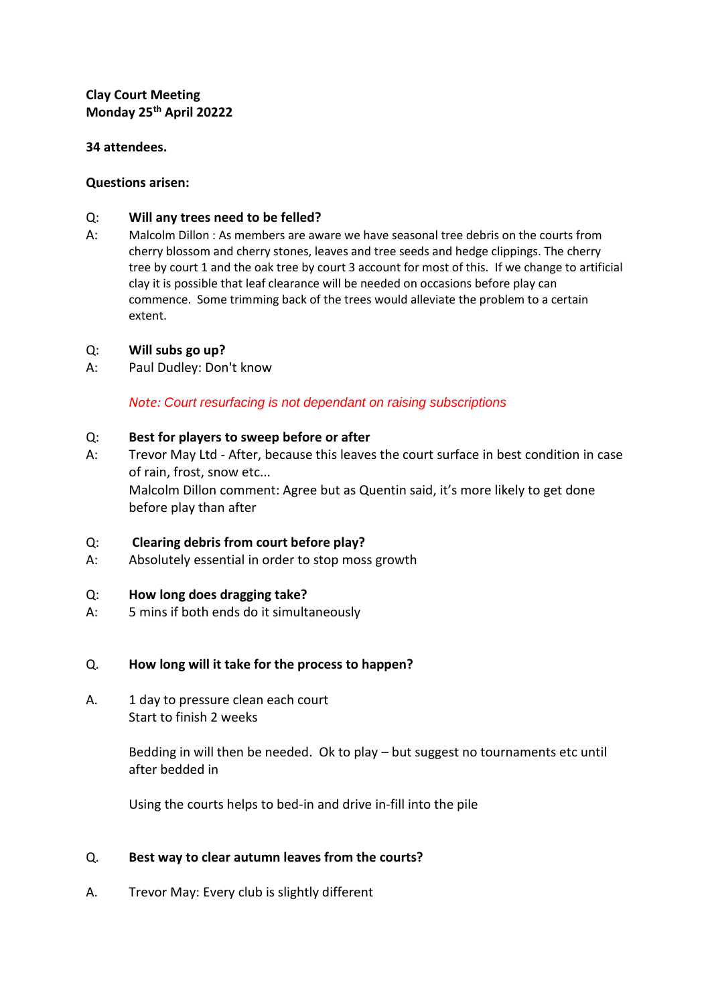# **Clay Court Meeting Monday 25th April 20222**

### **34 attendees.**

### **Questions arisen:**

## Q: **Will any trees need to be felled?**

A: Malcolm Dillon : As members are aware we have seasonal tree debris on the courts from cherry blossom and cherry stones, leaves and tree seeds and hedge clippings. The cherry tree by court 1 and the oak tree by court 3 account for most of this. If we change to artificial clay it is possible that leaf clearance will be needed on occasions before play can commence. Some trimming back of the trees would alleviate the problem to a certain extent.

## Q: **Will subs go up?**

A: Paul Dudley: Don't know

*Note: Court resurfacing is not dependant on raising subscriptions*

## Q: **Best for players to sweep before or after**

A: Trevor May Ltd - After, because this leaves the court surface in best condition in case of rain, frost, snow etc... Malcolm Dillon comment: Agree but as Quentin said, it's more likely to get done before play than after

## Q: **Clearing debris from court before play?**

A: Absolutely essential in order to stop moss growth

# Q: **How long does dragging take?**

A: 5 mins if both ends do it simultaneously

#### Q. **How long will it take for the process to happen?**

A. 1 day to pressure clean each court Start to finish 2 weeks

> Bedding in will then be needed. Ok to play – but suggest no tournaments etc until after bedded in

Using the courts helps to bed-in and drive in-fill into the pile

# Q. **Best way to clear autumn leaves from the courts?**

A. Trevor May: Every club is slightly different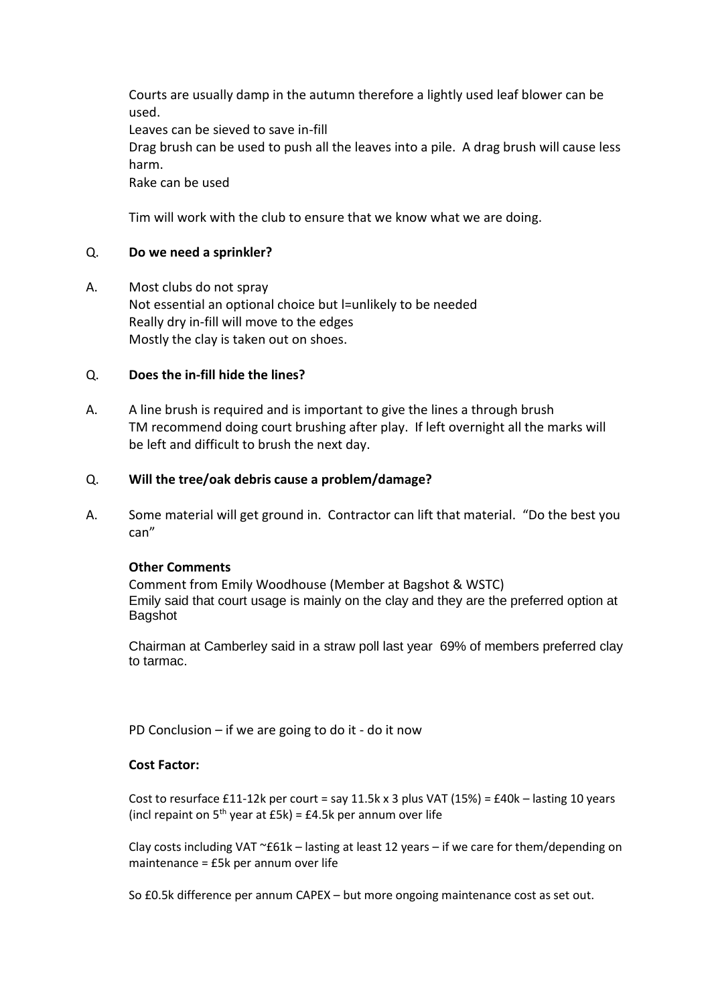Courts are usually damp in the autumn therefore a lightly used leaf blower can be used. Leaves can be sieved to save in-fill Drag brush can be used to push all the leaves into a pile. A drag brush will cause less harm. Rake can be used

Tim will work with the club to ensure that we know what we are doing.

## Q. **Do we need a sprinkler?**

A. Most clubs do not spray Not essential an optional choice but l=unlikely to be needed Really dry in-fill will move to the edges Mostly the clay is taken out on shoes.

# Q. **Does the in-fill hide the lines?**

A. A line brush is required and is important to give the lines a through brush TM recommend doing court brushing after play. If left overnight all the marks will be left and difficult to brush the next day.

## Q. **Will the tree/oak debris cause a problem/damage?**

A. Some material will get ground in. Contractor can lift that material. "Do the best you can"

#### **Other Comments**

Comment from Emily Woodhouse (Member at Bagshot & WSTC) Emily said that court usage is mainly on the clay and they are the preferred option at Bagshot

Chairman at Camberley said in a straw poll last year 69% of members preferred clay to tarmac.

PD Conclusion – if we are going to do it - do it now

#### **Cost Factor:**

Cost to resurface £11-12k per court = say 11.5k x 3 plus VAT (15%) = £40k - lasting 10 years (incl repaint on  $5<sup>th</sup>$  year at £5k) = £4.5k per annum over life

Clay costs including VAT ~£61k – lasting at least 12 years – if we care for them/depending on maintenance = £5k per annum over life

So £0.5k difference per annum CAPEX – but more ongoing maintenance cost as set out.